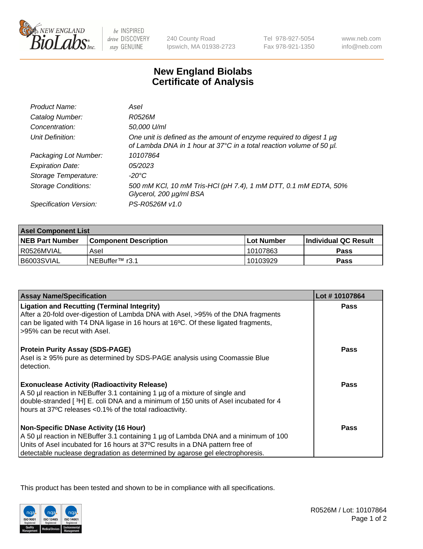

 $be$  INSPIRED drive DISCOVERY stay GENUINE

240 County Road Ipswich, MA 01938-2723 Tel 978-927-5054 Fax 978-921-1350

www.neb.com info@neb.com

## **New England Biolabs Certificate of Analysis**

| Product Name:              | Asel                                                                                                                                        |
|----------------------------|---------------------------------------------------------------------------------------------------------------------------------------------|
| Catalog Number:            | R0526M                                                                                                                                      |
| Concentration:             | 50,000 U/ml                                                                                                                                 |
| Unit Definition:           | One unit is defined as the amount of enzyme required to digest 1 µg<br>of Lambda DNA in 1 hour at 37°C in a total reaction volume of 50 µl. |
| Packaging Lot Number:      | 10107864                                                                                                                                    |
| <b>Expiration Date:</b>    | 05/2023                                                                                                                                     |
| Storage Temperature:       | $-20^{\circ}$ C                                                                                                                             |
| <b>Storage Conditions:</b> | 500 mM KCI, 10 mM Tris-HCI (pH 7.4), 1 mM DTT, 0.1 mM EDTA, 50%<br>Glycerol, 200 µg/ml BSA                                                  |
| Specification Version:     | PS-R0526M v1.0                                                                                                                              |

| <b>Asel Component List</b> |                         |             |                             |  |
|----------------------------|-------------------------|-------------|-----------------------------|--|
| <b>NEB Part Number</b>     | l Component Description | ⊺Lot Number | <b>Individual QC Result</b> |  |
| I R0526MVIAL               | Asel                    | 10107863    | Pass                        |  |
| B6003SVIAL                 | INEBuffer™ r3.1         | 10103929    | Pass                        |  |

| <b>Assay Name/Specification</b>                                                                                                                                                                                                                                                                       | Lot #10107864 |
|-------------------------------------------------------------------------------------------------------------------------------------------------------------------------------------------------------------------------------------------------------------------------------------------------------|---------------|
| <b>Ligation and Recutting (Terminal Integrity)</b><br>After a 20-fold over-digestion of Lambda DNA with Asel, >95% of the DNA fragments<br>can be ligated with T4 DNA ligase in 16 hours at 16°C. Of these ligated fragments,<br>>95% can be recut with Asel.                                         | Pass          |
| <b>Protein Purity Assay (SDS-PAGE)</b><br>Asel is ≥ 95% pure as determined by SDS-PAGE analysis using Coomassie Blue<br>detection.                                                                                                                                                                    | Pass          |
| <b>Exonuclease Activity (Radioactivity Release)</b><br>A 50 µl reaction in NEBuffer 3.1 containing 1 µg of a mixture of single and<br>double-stranded [3H] E. coli DNA and a minimum of 150 units of Asel incubated for 4<br>hours at 37°C releases < 0.1% of the total radioactivity.                | Pass          |
| <b>Non-Specific DNase Activity (16 Hour)</b><br>A 50 µl reaction in NEBuffer 3.1 containing 1 µg of Lambda DNA and a minimum of 100<br>Units of Asel incubated for 16 hours at 37°C results in a DNA pattern free of<br>detectable nuclease degradation as determined by agarose gel electrophoresis. | Pass          |

This product has been tested and shown to be in compliance with all specifications.